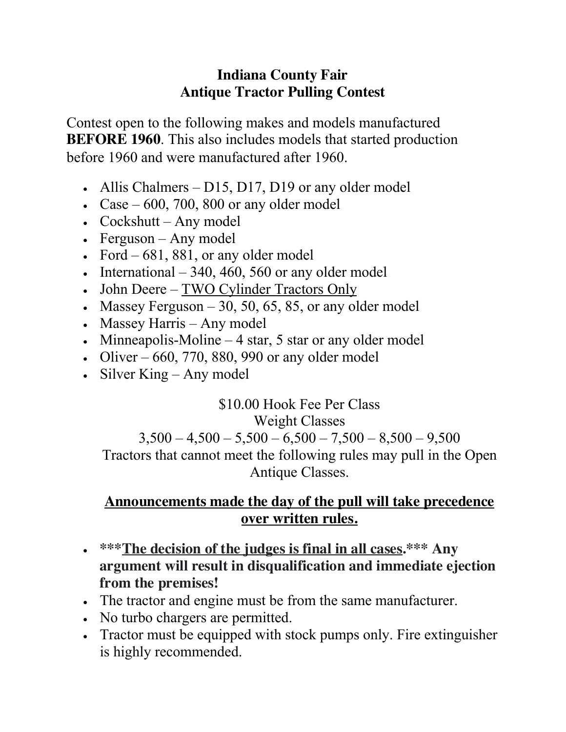## **Indiana County Fair Antique Tractor Pulling Contest**

Contest open to the following makes and models manufactured **BEFORE 1960**. This also includes models that started production before 1960 and were manufactured after 1960.

- Allis Chalmers D15, D17, D19 or any older model
- Case  $-600$ , 700, 800 or any older model
- Cockshutt Any model
- Ferguson Any model
- Ford  $-681, 881$ , or any older model
- International  $-340, 460, 560$  or any older model
- John Deere TWO Cylinder Tractors Only
- Massey Ferguson  $-30$ , 50, 65, 85, or any older model
- Massey Harris Any model
- Minneapolis-Moline 4 star, 5 star or any older model
- Oliver 660, 770, 880, 990 or any older model
- Silver King Any model

\$10.00 Hook Fee Per Class Weight Classes  $3,500 - 4,500 - 5,500 - 6,500 - 7,500 - 8,500 - 9,500$ Tractors that cannot meet the following rules may pull in the Open Antique Classes.

## **Announcements made the day of the pull will take precedence over written rules.**

- **\*\*\*The decision of the judges is final in all cases.\*\*\* Any argument will result in disqualification and immediate ejection from the premises!**
- The tractor and engine must be from the same manufacturer.
- No turbo chargers are permitted.
- Tractor must be equipped with stock pumps only. Fire extinguisher is highly recommended.